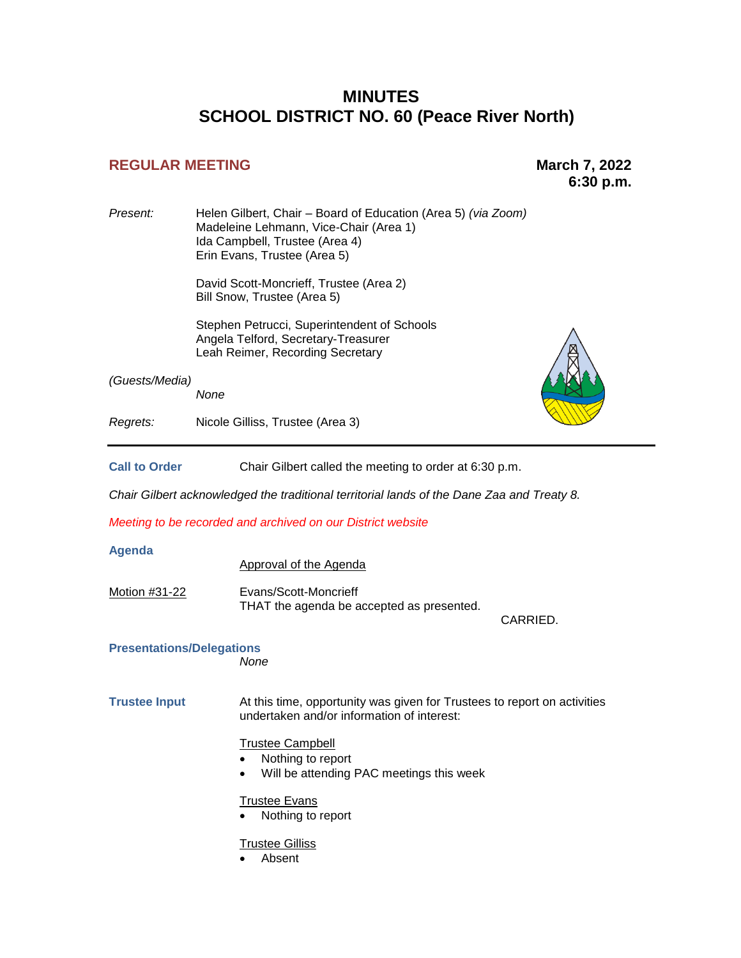# **MINUTES SCHOOL DISTRICT NO. 60 (Peace River North)**

# **REGULAR MEETING March 7, 2022**

**6:30 p.m.** 

| Present:                                 | Helen Gilbert, Chair - Board of Education (Area 5) (via Zoom)<br>Madeleine Lehmann, Vice-Chair (Area 1)<br>Ida Campbell, Trustee (Area 4)<br>Erin Evans, Trustee (Area 5) |  |  |  |
|------------------------------------------|---------------------------------------------------------------------------------------------------------------------------------------------------------------------------|--|--|--|
|                                          | David Scott-Moncrieff, Trustee (Area 2)<br>Bill Snow, Trustee (Area 5)                                                                                                    |  |  |  |
|                                          | Stephen Petrucci, Superintendent of Schools<br>Angela Telford, Secretary-Treasurer<br>Leah Reimer, Recording Secretary                                                    |  |  |  |
| (Guests/Media)                           | None                                                                                                                                                                      |  |  |  |
| Regrets:                                 | Nicole Gilliss, Trustee (Area 3)                                                                                                                                          |  |  |  |
| <b>Call to Order</b>                     | Chair Gilbert called the meeting to order at 6:30 p.m.                                                                                                                    |  |  |  |
|                                          | Chair Gilbert acknowledged the traditional territorial lands of the Dane Zaa and Treaty 8.                                                                                |  |  |  |
|                                          | Meeting to be recorded and archived on our District website                                                                                                               |  |  |  |
| <b>Agenda</b>                            | <b>Approval of the Agenda</b>                                                                                                                                             |  |  |  |
| Motion #31-22                            | Evans/Scott-Moncrieff<br>THAT the agenda be accepted as presented.<br>CARRIED.                                                                                            |  |  |  |
| <b>Presentations/Delegations</b><br>None |                                                                                                                                                                           |  |  |  |
| <b>Trustee Input</b>                     | At this time, opportunity was given for Trustees to report on activities<br>undertaken and/or information of interest:                                                    |  |  |  |
|                                          | <b>Trustee Campbell</b><br>Nothing to report<br>Will be attending PAC meetings this week                                                                                  |  |  |  |
|                                          | <b>Trustee Evans</b><br>Nothing to report                                                                                                                                 |  |  |  |
|                                          | <b>Trustee Gilliss</b><br>Absent                                                                                                                                          |  |  |  |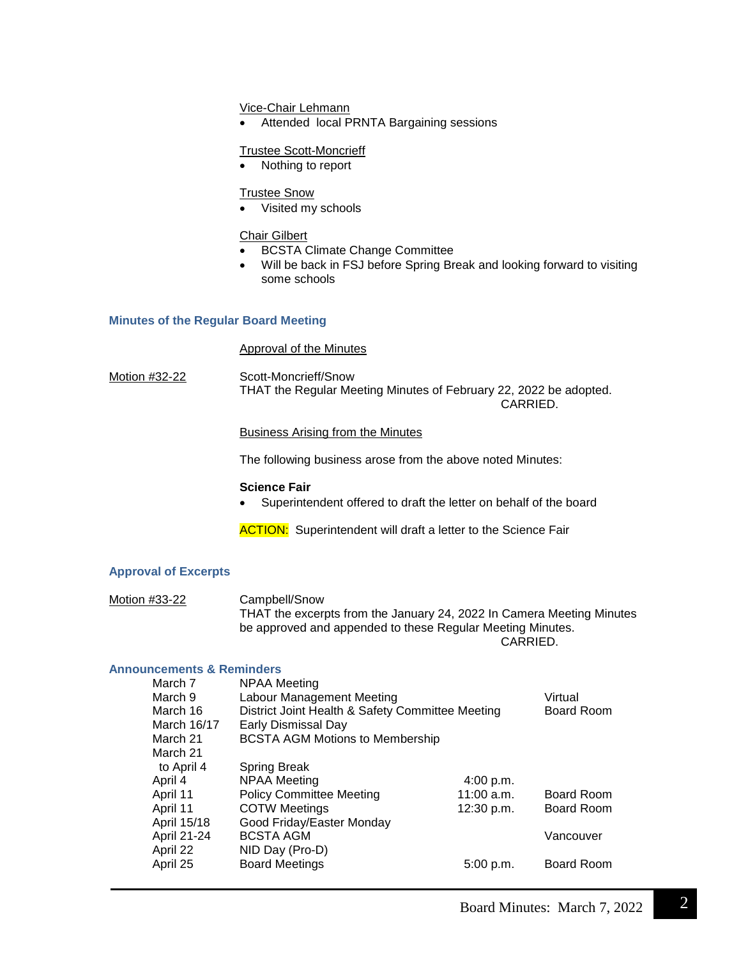Vice-Chair Lehmann

Attended local PRNTA Bargaining sessions

## Trustee Scott-Moncrieff

• Nothing to report

# Trustee Snow

Visited my schools

# Chair Gilbert

- BCSTA Climate Change Committee
- Will be back in FSJ before Spring Break and looking forward to visiting some schools

# **Minutes of the Regular Board Meeting**

## Approval of the Minutes

Motion #32-22 Scott-Moncrieff/Snow THAT the Regular Meeting Minutes of February 22, 2022 be adopted. CARRIED.

## Business Arising from the Minutes

The following business arose from the above noted Minutes:

## **Science Fair**

Superintendent offered to draft the letter on behalf of the board

**ACTION:** Superintendent will draft a letter to the Science Fair

## **Approval of Excerpts**

| Motion #33-22 | Campbell/Snow                                                         |
|---------------|-----------------------------------------------------------------------|
|               | THAT the excerpts from the January 24, 2022 In Camera Meeting Minutes |
|               | be approved and appended to these Regular Meeting Minutes.            |

CARRIED.

# **Announcements & Reminders**

| March 7     | NPAA Meeting                                     |              |                   |
|-------------|--------------------------------------------------|--------------|-------------------|
| March 9     | Labour Management Meeting                        |              | Virtual           |
| March 16    | District Joint Health & Safety Committee Meeting |              | <b>Board Room</b> |
| March 16/17 | Early Dismissal Day                              |              |                   |
| March 21    | <b>BCSTA AGM Motions to Membership</b>           |              |                   |
| March 21    |                                                  |              |                   |
| to April 4  | <b>Spring Break</b>                              |              |                   |
| April 4     | <b>NPAA Meeting</b>                              | 4:00 p.m.    |                   |
| April 11    | <b>Policy Committee Meeting</b>                  | $11:00$ a.m. | <b>Board Room</b> |
| April 11    | <b>COTW Meetings</b>                             | 12:30 p.m.   | <b>Board Room</b> |
| April 15/18 | Good Friday/Easter Monday                        |              |                   |
| April 21-24 | <b>BCSTA AGM</b>                                 |              | Vancouver         |
| April 22    | NID Day (Pro-D)                                  |              |                   |
| April 25    | <b>Board Meetings</b>                            | 5:00 p.m.    | <b>Board Room</b> |
|             |                                                  |              |                   |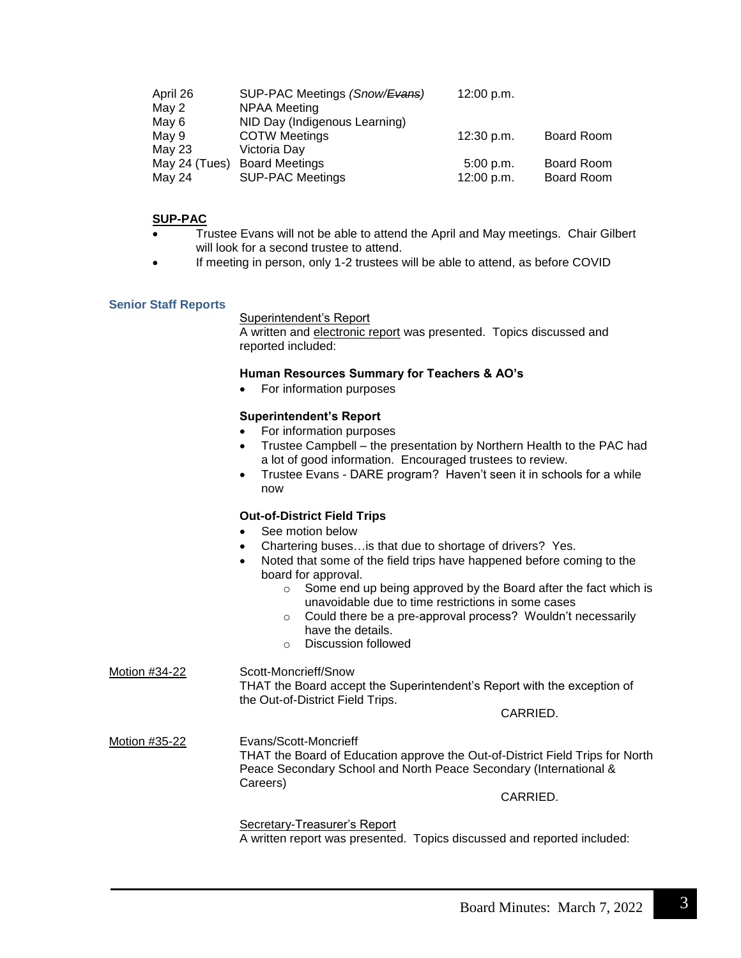| April 26      | SUP-PAC Meetings (Snow/Evans) | 12:00 p.m. |            |
|---------------|-------------------------------|------------|------------|
| May 2         | <b>NPAA Meeting</b>           |            |            |
| May 6         | NID Day (Indigenous Learning) |            |            |
| May 9         | <b>COTW Meetings</b>          | 12:30 p.m. | Board Room |
| May 23        | Victoria Day                  |            |            |
| May 24 (Tues) | <b>Board Meetings</b>         | 5:00 p.m.  | Board Room |
| May 24        | <b>SUP-PAC Meetings</b>       | 12:00 p.m. | Board Room |

# **SUP-PAC**

- Trustee Evans will not be able to attend the April and May meetings. Chair Gilbert will look for a second trustee to attend.
- If meeting in person, only 1-2 trustees will be able to attend, as before COVID

#### **Senior Staff Reports**

#### Superintendent's Report

A written and electronic report was presented. Topics discussed and reported included:

#### **Human Resources Summary for Teachers & AO's**

For information purposes

## **Superintendent's Report**

- For information purposes
- Trustee Campbell the presentation by Northern Health to the PAC had a lot of good information. Encouraged trustees to review.
	- Trustee Evans DARE program? Haven't seen it in schools for a while now

## **Out-of-District Field Trips**

- See motion below
- Chartering buses…is that due to shortage of drivers? Yes.
- Noted that some of the field trips have happened before coming to the board for approval.
	- o Some end up being approved by the Board after the fact which is unavoidable due to time restrictions in some cases
	- o Could there be a pre-approval process? Wouldn't necessarily have the details.
	- o Discussion followed

Motion #34-22 Scott-Moncrieff/Snow THAT the Board accept the Superintendent's Report with the exception of the Out-of-District Field Trips.

# CARRIED.

Motion #35-22 Evans/Scott-Moncrieff THAT the Board of Education approve the Out-of-District Field Trips for North Peace Secondary School and North Peace Secondary (International & Careers)

CARRIED.

Secretary-Treasurer's Report A written report was presented. Topics discussed and reported included: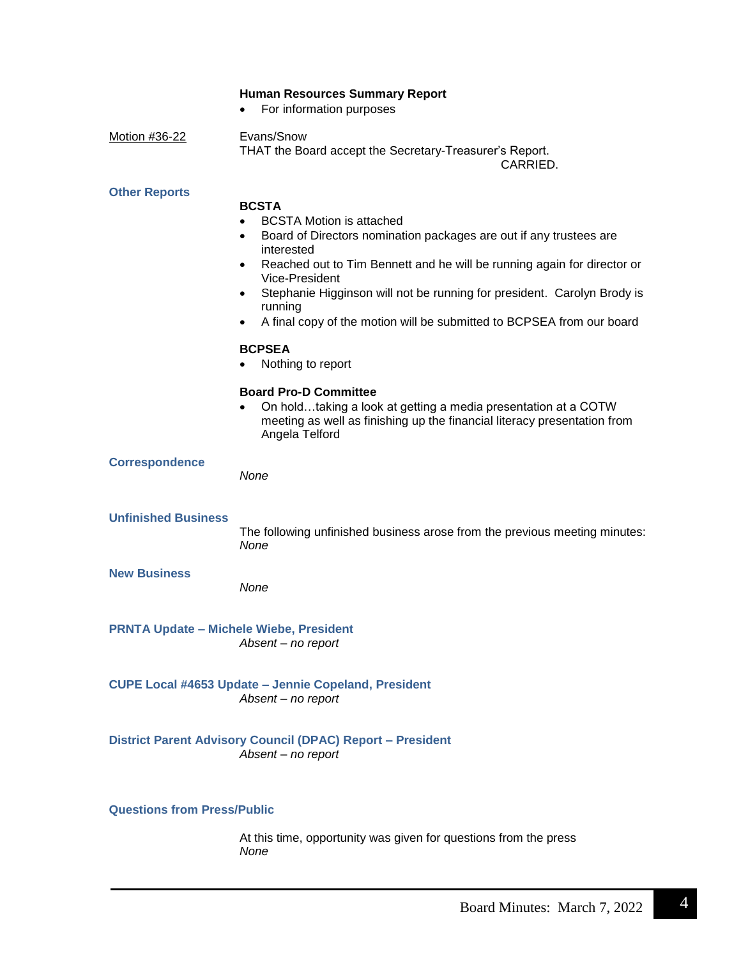|  | <b>Human Resources Summary Report</b> |  |  |
|--|---------------------------------------|--|--|
|--|---------------------------------------|--|--|

• For information purposes

Motion #36-22 Evans/Snow THAT the Board accept the Secretary-Treasurer's Report.

CARRIED.

## **Other Reports**

# **BCSTA** BCSTA Motion is attached Board of Directors nomination packages are out if any trustees are interested Reached out to Tim Bennett and he will be running again for director or Vice-President Stephanie Higginson will not be running for president. Carolyn Brody is running A final copy of the motion will be submitted to BCPSEA from our board **BCPSEA** • Nothing to report **Board Pro-D Committee** On hold…taking a look at getting a media presentation at a COTW meeting as well as finishing up the financial literacy presentation from Angela Telford **Correspondence** *None* **Unfinished Business**  The following unfinished business arose from the previous meeting minutes: *None* **New Business**  *None* **PRNTA Update – Michele Wiebe, President** *Absent – no report* **CUPE Local #4653 Update – Jennie Copeland, President** *Absent – no report* **District Parent Advisory Council (DPAC) Report – President** *Absent – no report*

## **Questions from Press/Public**

At this time, opportunity was given for questions from the press *None*